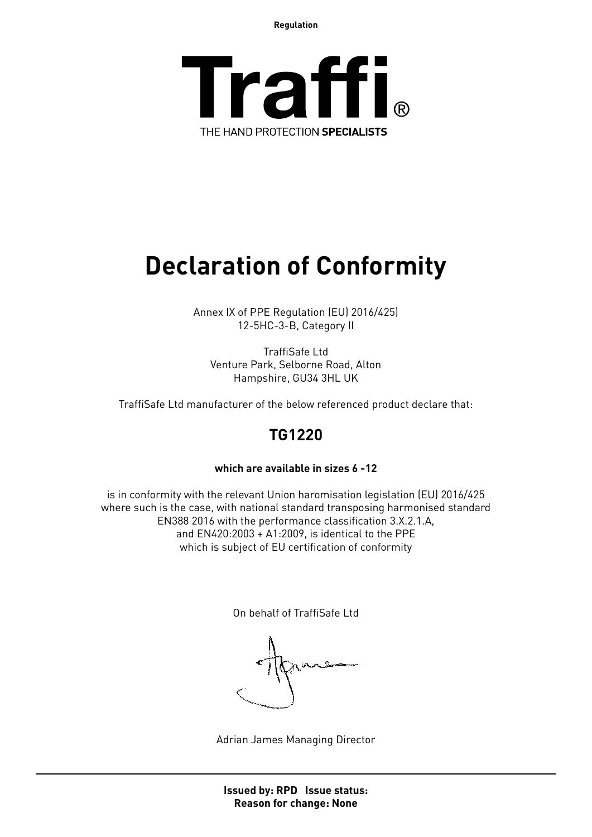**Regulation**



## **Declaration of Conformity**

Annex IX of PPE Regulation (EU) 2016/425) 12-5HC-3-B, Category II

TraffiSafe Ltd Venture Park, Selborne Road, Alton Hampshire, GU34 3HL UK

TraffiSafe Ltd manufacturer of the below referenced product declare that:

### **TG1220**

#### **which are available in sizes 6 -12**

is in conformity with the relevant Union haromisation legislation (EU) 2016/425 where such is the case, with national standard transposing harmonised standard EN388 2016 with the performance classification 3.X.2.1.A, and EN420:2003 + A1:2009, is identical to the PPE which is subject of EU certification of conformity

On behalf of TraffiSafe Ltd

Adrian James Managing Director

**Issued by: RPD Issue status: Reason for change: None**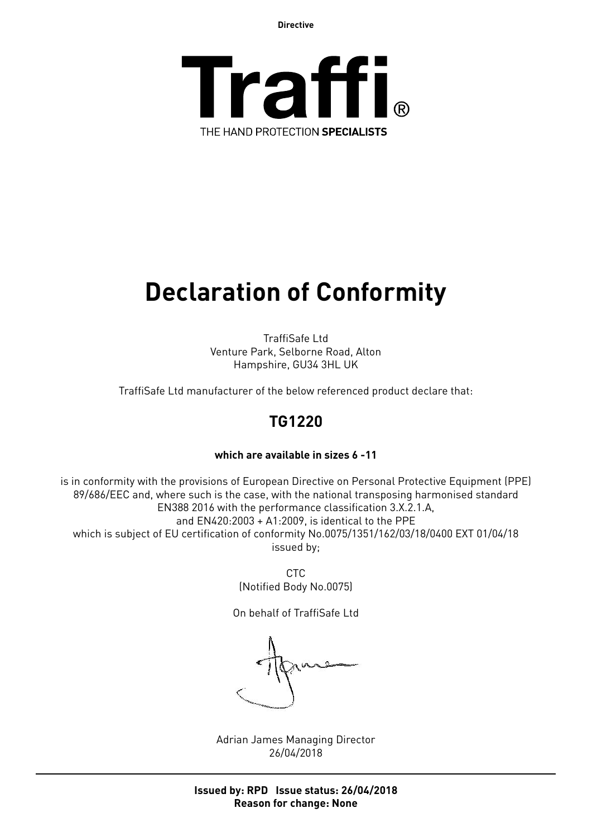**Directive**



# **Declaration of Conformity**

TraffiSafe Ltd Venture Park, Selborne Road, Alton Hampshire, GU34 3HL UK

TraffiSafe Ltd manufacturer of the below referenced product declare that:

## **TG1220**

#### **which are available in sizes 6 -11**

is in conformity with the provisions of European Directive on Personal Protective Equipment (PPE) 89/686/EEC and, where such is the case, with the national transposing harmonised standard EN388 2016 with the performance classification 3.X.2.1.A, and EN420:2003 + A1:2009, is identical to the PPE which is subject of EU certification of conformity No.0075/1351/162/03/18/0400 EXT 01/04/18 issued by;

> CTC (Notified Body No.0075)

On behalf of TraffiSafe Ltd

Adrian James Managing Director 26/04/2018